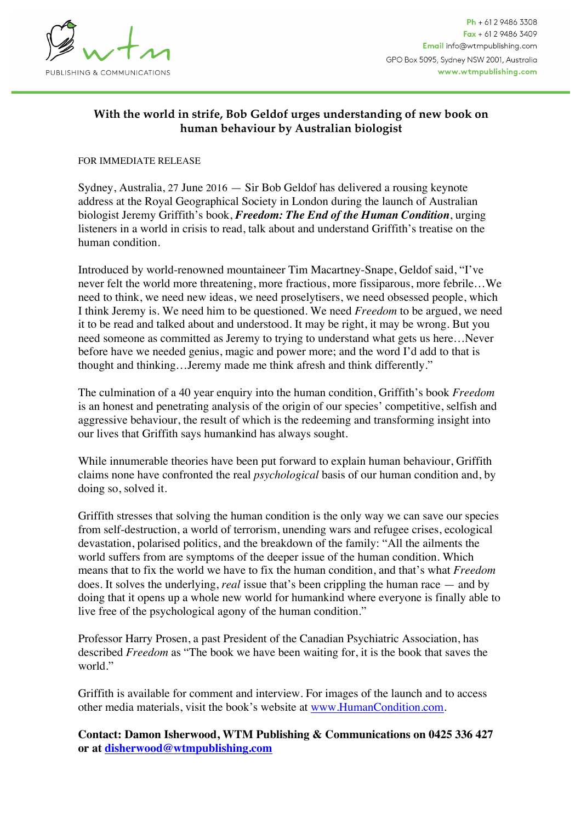

## **With the world in strife, Bob Geldof urges understanding of new book on human behaviour by Australian biologist**

## FOR IMMEDIATE RELEASE

Sydney, Australia, 27 June 2016 — Sir Bob Geldof has delivered a rousing keynote address at the Royal Geographical Society in London during the launch of Australian biologist Jeremy Griffith's book, *Freedom: The End of the Human Condition*, urging listeners in a world in crisis to read, talk about and understand Griffith's treatise on the human condition.

Introduced by world-renowned mountaineer Tim Macartney-Snape, Geldof said, "I've never felt the world more threatening, more fractious, more fissiparous, more febrile…We need to think, we need new ideas, we need proselytisers, we need obsessed people, which I think Jeremy is. We need him to be questioned. We need *Freedom* to be argued, we need it to be read and talked about and understood. It may be right, it may be wrong. But you need someone as committed as Jeremy to trying to understand what gets us here…Never before have we needed genius, magic and power more; and the word I'd add to that is thought and thinking…Jeremy made me think afresh and think differently."

The culmination of a 40 year enquiry into the human condition, Griffith's book *Freedom* is an honest and penetrating analysis of the origin of our species' competitive, selfish and aggressive behaviour, the result of which is the redeeming and transforming insight into our lives that Griffith says humankind has always sought.

While innumerable theories have been put forward to explain human behaviour, Griffith claims none have confronted the real *psychological* basis of our human condition and, by doing so, solved it.

Griffith stresses that solving the human condition is the only way we can save our species from self-destruction, a world of terrorism, unending wars and refugee crises, ecological devastation, polarised politics, and the breakdown of the family: "All the ailments the world suffers from are symptoms of the deeper issue of the human condition. Which means that to fix the world we have to fix the human condition, and that's what *Freedom* does. It solves the underlying, *real* issue that's been crippling the human race — and by doing that it opens up a whole new world for humankind where everyone is finally able to live free of the psychological agony of the human condition."

Professor Harry Prosen, a past President of the Canadian Psychiatric Association, has described *Freedom* as "The book we have been waiting for, it is the book that saves the world."

Griffith is available for comment and interview. For images of the launch and to access other media materials, visit the book's website at [www.HumanCondition.com](http://www.HumanCondition.com/).

**Contact: Damon Isherwood, WTM Publishing & Communications on 0425 336 427 or at [disherwood@wtmpublishing.com](mailto:disherwood@wtmpublishing.com)**